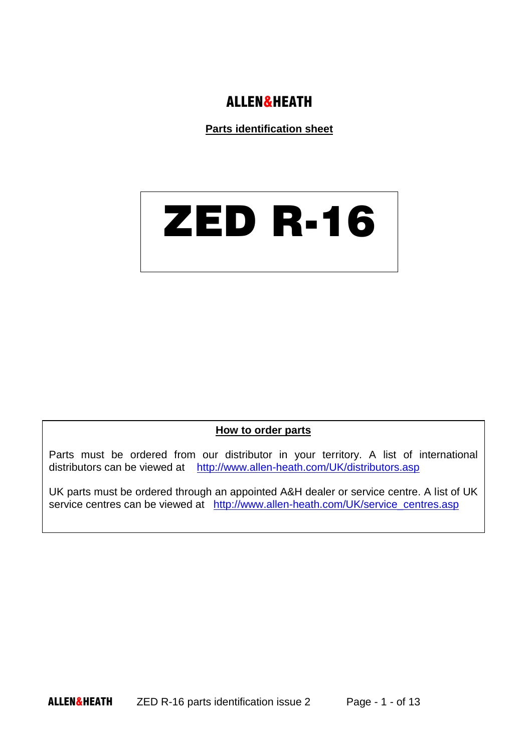#### ALLEN&HEATH

**Parts identification sheet**

# ZED R-16

#### **How to order parts**

Parts must be ordered from our distributor in your territory. A list of international distributors can be viewed at <http://www.allen-heath.com/UK/distributors.asp>

UK parts must be ordered through an appointed A&H dealer or service centre. A list of UK service centres can be viewed at http://www.allen-heath.com/UK/service centres.asp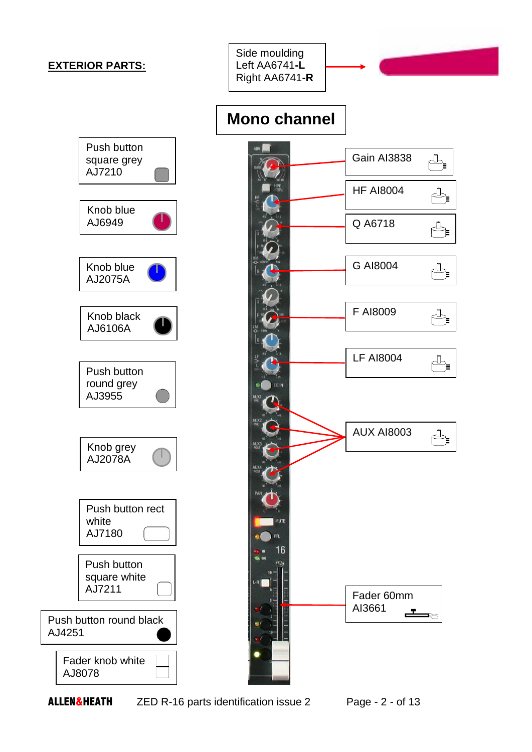#### **EXTERIOR PARTS:**

Side moulding Left AA6741**-L** Right AA6741**-R**





## **Mono channel**

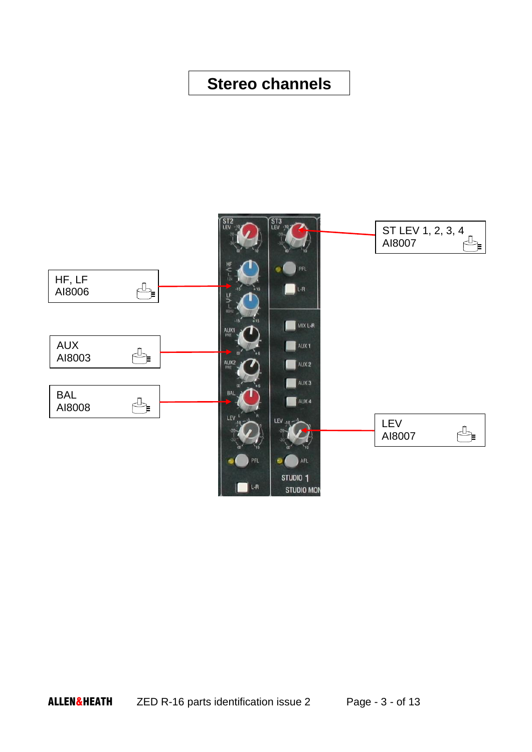#### **Stereo channels**

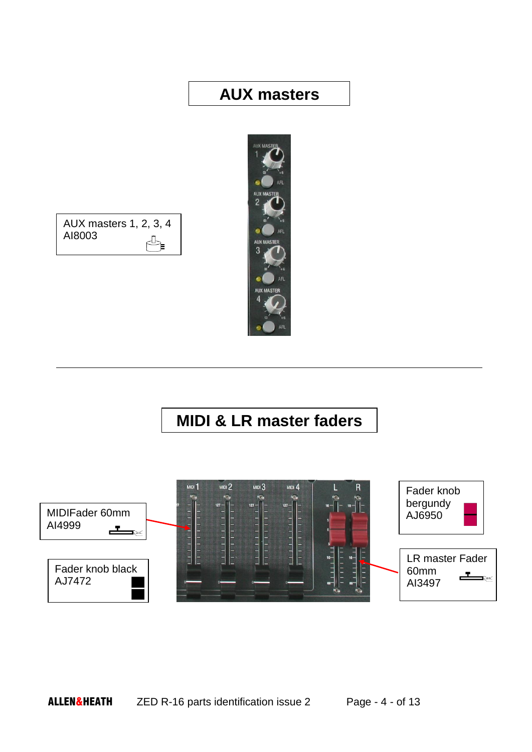#### **AUX masters**





## **MIDI & LR master faders**

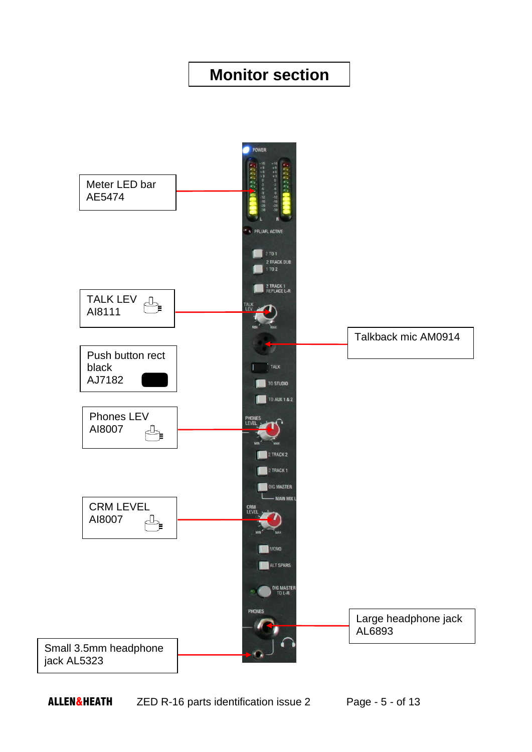## **Monitor section**

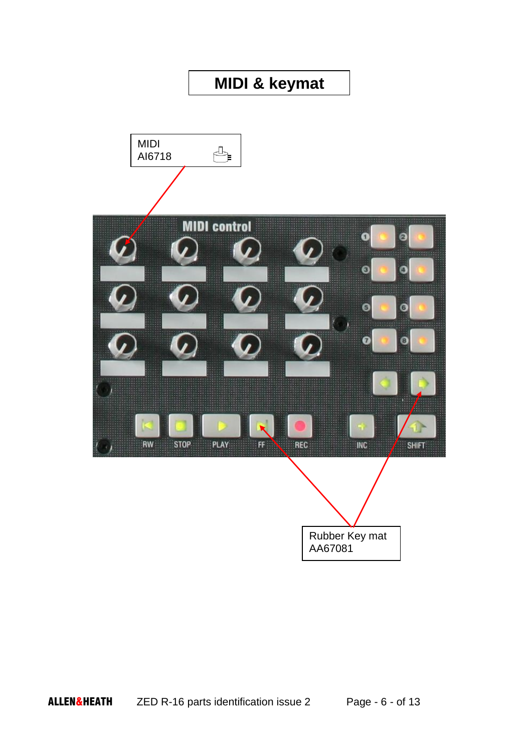## **MIDI & keymat**

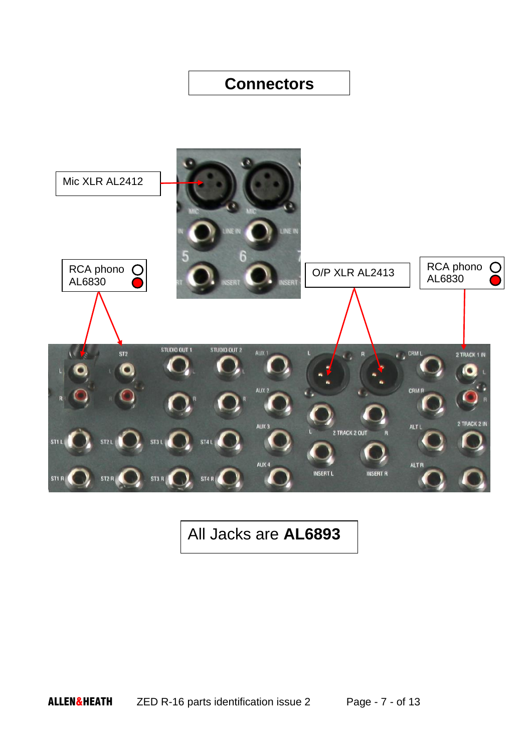#### **Connectors**



## All Jacks are **AL6893**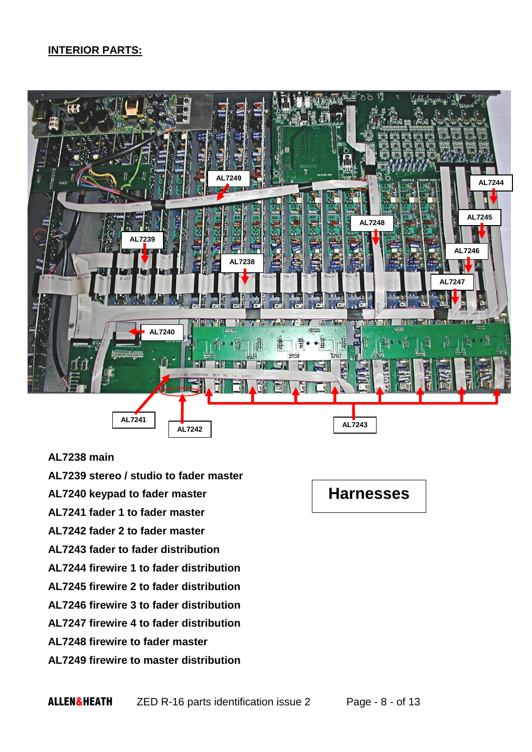#### **INTERIOR PARTS:**



#### **AL7238 main**

**AL7239 stereo / studio to fader master AL7240 keypad to fader master AL7241 fader 1 to fader master AL7242 fader 2 to fader master AL7243 fader to fader distribution AL7244 firewire 1 to fader distribution AL7245 firewire 2 to fader distribution AL7246 firewire 3 to fader distribution AL7247 firewire 4 to fader distribution AL7248 firewire to fader master AL7249 firewire to master distribution**

## **Harnesses**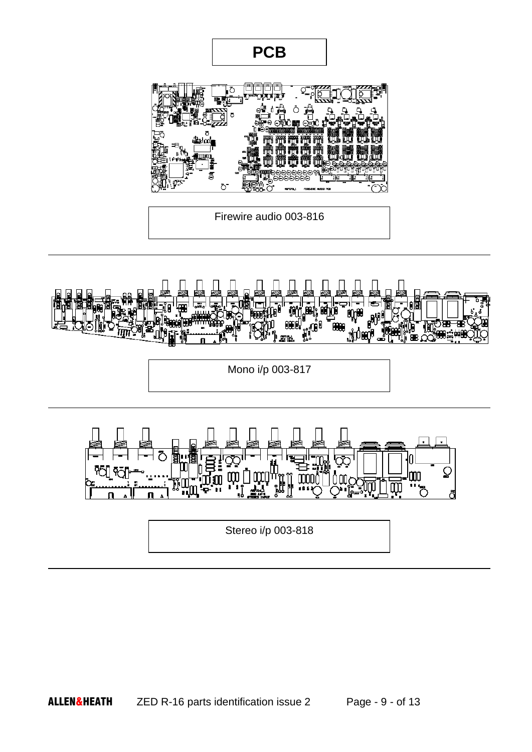

**PCB**

Firewire audio 003-816



Mono i/p 003-817



Stereo i/p 003-818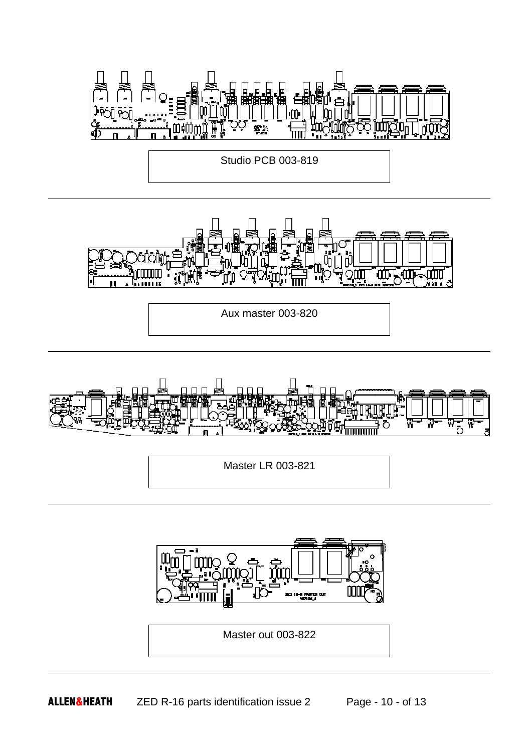

Φ - Щ **ETHILIS** 

Aux master 003-820



Master LR 003-821



Master out 003-822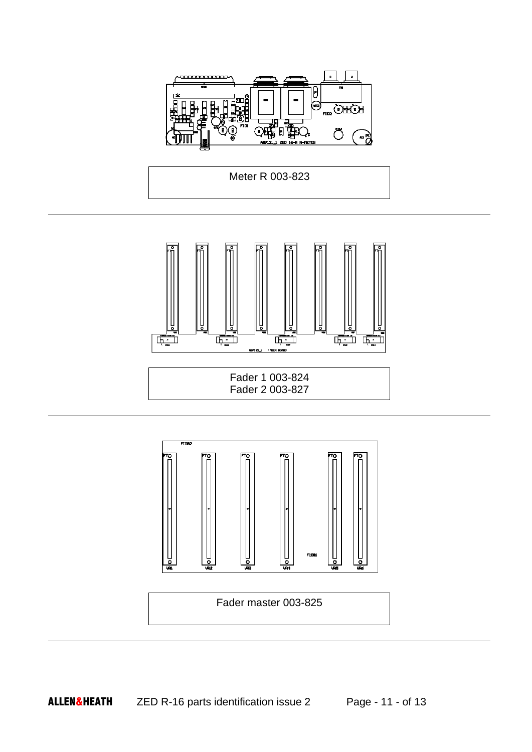





Fader 1 003-824 Fader 2 003-827



Fader master 003-825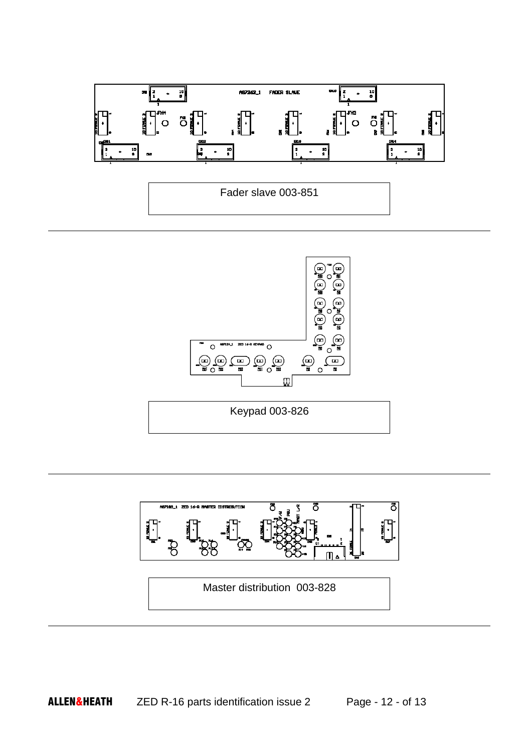